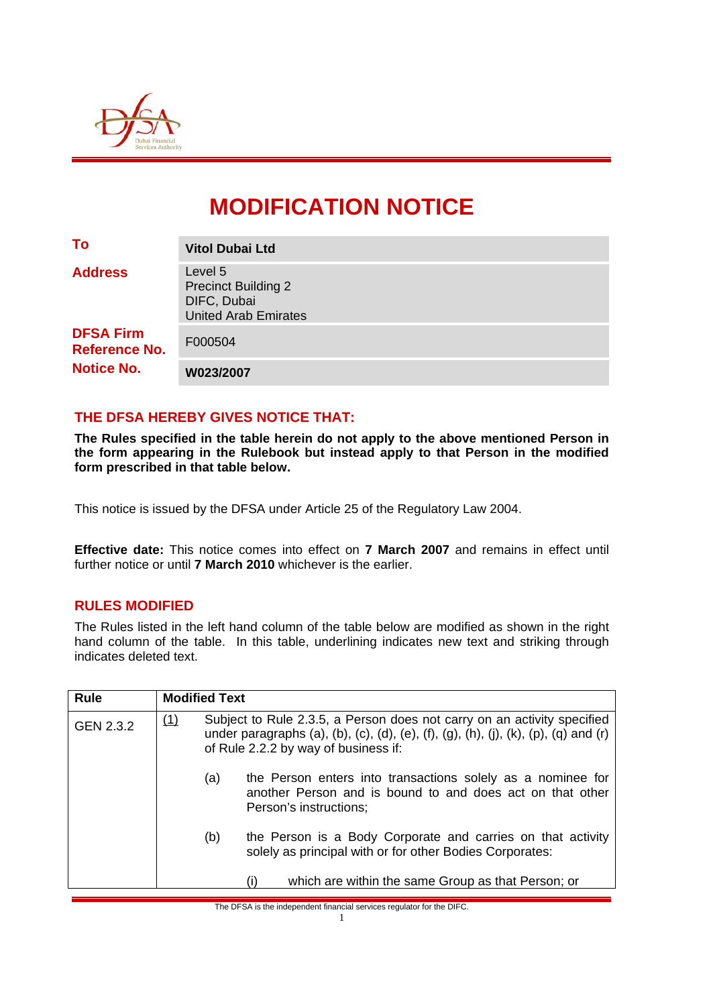

# **MODIFICATION NOTICE**

| To                                                                              | <b>Vitol Dubai Ltd</b>                                                              |
|---------------------------------------------------------------------------------|-------------------------------------------------------------------------------------|
| <b>Address</b><br><b>DFSA Firm</b><br><b>Reference No.</b><br><b>Notice No.</b> | Level 5<br><b>Precinct Building 2</b><br>DIFC, Dubai<br><b>United Arab Emirates</b> |
|                                                                                 | F000504                                                                             |
|                                                                                 | W023/2007                                                                           |

## **THE DFSA HEREBY GIVES NOTICE THAT:**

**The Rules specified in the table herein do not apply to the above mentioned Person in the form appearing in the Rulebook but instead apply to that Person in the modified form prescribed in that table below.** 

This notice is issued by the DFSA under Article 25 of the Regulatory Law 2004.

**Effective date:** This notice comes into effect on **7 March 2007** and remains in effect until further notice or until **7 March 2010** whichever is the earlier.

#### **RULES MODIFIED**

The Rules listed in the left hand column of the table below are modified as shown in the right hand column of the table. In this table, underlining indicates new text and striking through indicates deleted text.

| <b>Rule</b> | <b>Modified Text</b> |                                                                                                                                                                                                        |                                                                                                                                                    |  |  |
|-------------|----------------------|--------------------------------------------------------------------------------------------------------------------------------------------------------------------------------------------------------|----------------------------------------------------------------------------------------------------------------------------------------------------|--|--|
| GEN 2.3.2   | (1)                  | Subject to Rule 2.3.5, a Person does not carry on an activity specified<br>under paragraphs (a), (b), (c), (d), (e), (f), (g), (h), (j), (k), (p), (q) and (r)<br>of Rule 2.2.2 by way of business if: |                                                                                                                                                    |  |  |
|             |                      | (a)                                                                                                                                                                                                    | the Person enters into transactions solely as a nominee for<br>another Person and is bound to and does act on that other<br>Person's instructions; |  |  |
|             |                      | (b)                                                                                                                                                                                                    | the Person is a Body Corporate and carries on that activity<br>solely as principal with or for other Bodies Corporates:                            |  |  |
|             |                      |                                                                                                                                                                                                        | which are within the same Group as that Person; or<br>(i)                                                                                          |  |  |

The DFSA is the independent financial services regulator for the DIFC.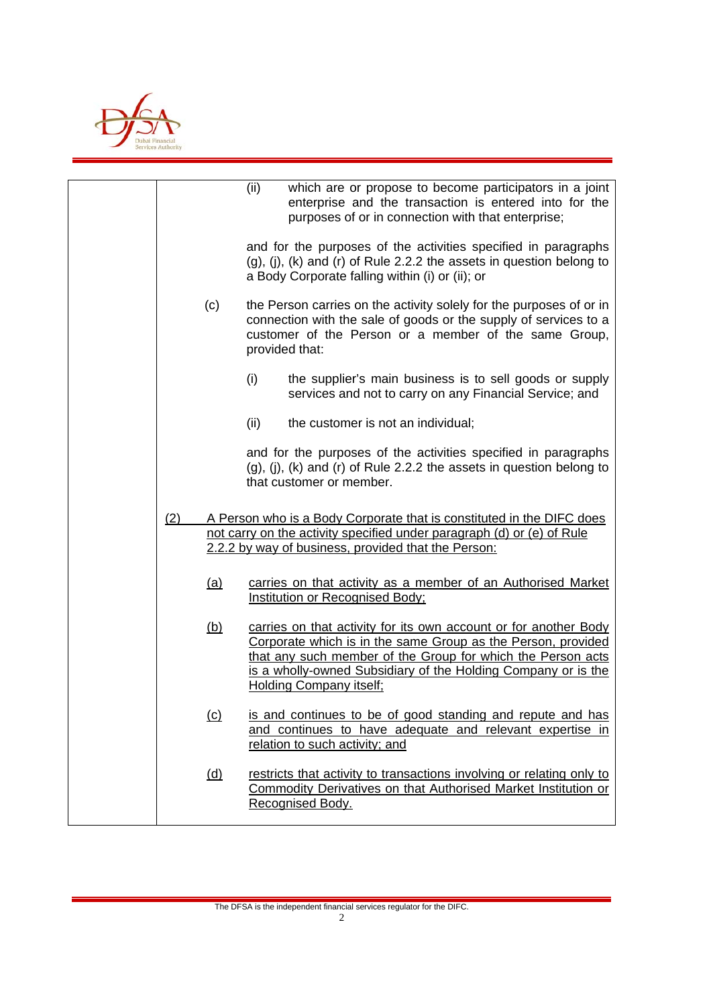

|     |            | (ii)<br>which are or propose to become participators in a joint<br>enterprise and the transaction is entered into for the<br>purposes of or in connection with that enterprise;                                                                                                                    |
|-----|------------|----------------------------------------------------------------------------------------------------------------------------------------------------------------------------------------------------------------------------------------------------------------------------------------------------|
|     |            | and for the purposes of the activities specified in paragraphs<br>(g), (i), (k) and (r) of Rule 2.2.2 the assets in question belong to<br>a Body Corporate falling within (i) or (ii); or                                                                                                          |
|     | (c)        | the Person carries on the activity solely for the purposes of or in<br>connection with the sale of goods or the supply of services to a<br>customer of the Person or a member of the same Group,<br>provided that:                                                                                 |
|     |            | (i)<br>the supplier's main business is to sell goods or supply<br>services and not to carry on any Financial Service; and                                                                                                                                                                          |
|     |            | (ii)<br>the customer is not an individual;                                                                                                                                                                                                                                                         |
|     |            | and for the purposes of the activities specified in paragraphs<br>$(g)$ , $(j)$ , $(k)$ and $(r)$ of Rule 2.2.2 the assets in question belong to<br>that customer or member.                                                                                                                       |
| (2) |            | A Person who is a Body Corporate that is constituted in the DIFC does<br>not carry on the activity specified under paragraph (d) or (e) of Rule<br>2.2.2 by way of business, provided that the Person:                                                                                             |
|     | <u>(a)</u> | carries on that activity as a member of an Authorised Market<br><b>Institution or Recognised Body:</b>                                                                                                                                                                                             |
|     | <u>(b)</u> | carries on that activity for its own account or for another Body<br>Corporate which is in the same Group as the Person, provided<br>that any such member of the Group for which the Person acts<br>is a wholly-owned Subsidiary of the Holding Company or is the<br><b>Holding Company itself;</b> |
|     | <u>(c)</u> | is and continues to be of good standing and repute and has<br>and continues to have adequate and relevant expertise in<br>relation to such activity; and                                                                                                                                           |
|     | <u>(d)</u> | restricts that activity to transactions involving or relating only to<br>Commodity Derivatives on that Authorised Market Institution or<br>Recognised Body.                                                                                                                                        |